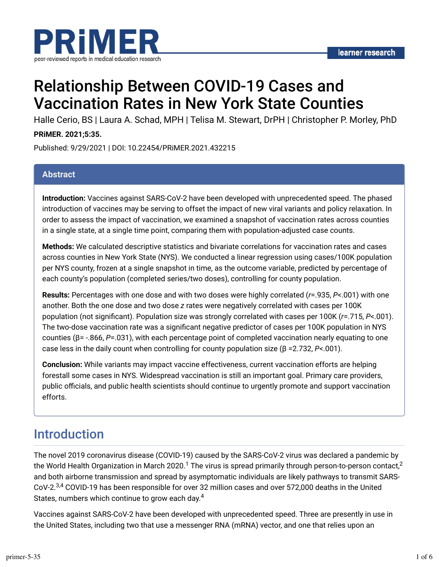

# Relationship Between COVID-19 Cases and Vaccination Rates in New York State Counties

Halle Cerio, BS | Laura A. Schad, MPH | Telisa M. Stewart, DrPH | Christopher P. Morley, PhD

### **PRiMER. 2021;5:35.**

Published: 9/29/2021 | DOI: 10.22454/PRiMER.2021.432215

### **Abstract**

**Introduction:** Vaccines against SARS-CoV-2 have been developed with unprecedented speed. The phased introduction of vaccines may be serving to offset the impact of new viral variants and policy relaxation. In order to assess the impact of vaccination, we examined a snapshot of vaccination rates across counties in a single state, at a single time point, comparing them with population-adjusted case counts.

**Methods:** We calculated descriptive statistics and bivariate correlations for vaccination rates and cases across counties in New York State (NYS). We conducted a linear regression using cases/100K population per NYS county, frozen at a single snapshot in time, as the outcome variable, predicted by percentage of each county's population (completed series/two doses), controlling for county population.

**Results:** Percentages with one dose and with two doses were highly correlated (*r*=.935, *P*<.001) with one another. Both the one dose and two dose *z* rates were negatively correlated with cases per 100K population (not significant). Population size was strongly correlated with cases per 100K ( $r=715$ ,  $P<.001$ ). The two-dose vaccination rate was a significant negative predictor of cases per 100K population in NYS counties (β= -.866, *P*=.031), with each percentage point of completed vaccination nearly equating to one case less in the daily count when controlling for county population size (β =2.732, *P*<.001).

**Conclusion:** While variants may impact vaccine effectiveness, current vaccination efforts are helping forestall some cases in NYS. Widespread vaccination is still an important goal. Primary care providers, public officials, and public health scientists should continue to urgently promote and support vaccination efforts.

## Introduction

The novel 2019 coronavirus disease (COVID-19) caused by the SARS-CoV-2 virus was declared a pandemic by the World Health Organization in March 2020. $^1$  The virus is spread primarily through person-to-person contact, $^2$ and both airborne transmission and spread by asymptomatic individuals are likely pathways to transmit SARS-CoV-2.<sup>3,4</sup> COVID-19 has been responsible for over 32 million cases and over 572,000 deaths in the United States, numbers which continue to grow each day. $^4$ 

Vaccines against SARS-CoV-2 have been developed with unprecedented speed. Three are presently in use in the United States, including two that use a messenger RNA (mRNA) vector, and one that relies upon an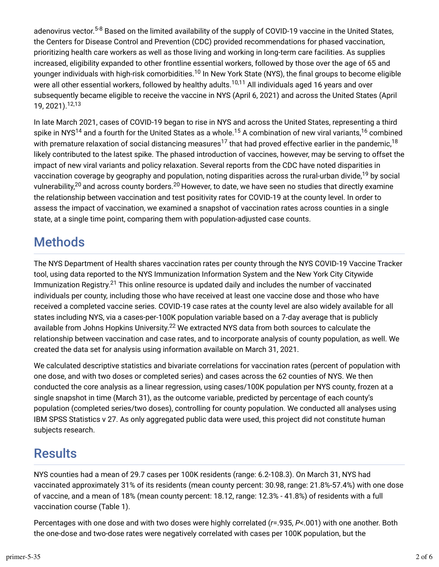adenovirus vector.<sup>5-8</sup> Based on the limited availability of the supply of COVID-19 vaccine in the United States, the Centers for Disease Control and Prevention (CDC) provided recommendations for phased vaccination, prioritizing health care workers as well as those living and working in long-term care facilities. As supplies increased, eligibility expanded to other frontline essential workers, followed by those over the age of 65 and younger individuals with high-risk comorbidities.<sup>10</sup> In New York State (NYS), the final groups to become eligible were all other essential workers, followed by healthy adults.<sup>10,11</sup> All individuals aged 16 years and over subsequently became eligible to receive the vaccine in NYS (April 6, 2021) and across the United States (April 19, 2021). 12,13

In late March 2021, cases of COVID-19 began to rise in NYS and across the United States, representing a third spike in NYS $^{14}$  and a fourth for the United States as a whole. $^{15}$  A combination of new viral variants, $^{16}$  combined with premature relaxation of social distancing measures $^{17}$  that had proved effective earlier in the pandemic, $^{18}$ likely contributed to the latest spike. The phased introduction of vaccines, however, may be serving to offset the impact of new viral variants and policy relaxation. Several reports from the CDC have noted disparities in vaccination coverage by geography and population, noting disparities across the rural-urban divide,<sup>19</sup> by social vulnerability, $^{20}$  and across county borders. $^{20}$  However, to date, we have seen no studies that directly examine the relationship between vaccination and test positivity rates for COVID-19 at the county level. In order to assess the impact of vaccination, we examined a snapshot of vaccination rates across counties in a single state, at a single time point, comparing them with population-adjusted case counts.

## **Methods**

The NYS Department of Health shares vaccination rates per county through the NYS COVID-19 Vaccine Tracker tool, using data reported to the NYS Immunization Information System and the New York City Citywide Immunization Registry. $^{21}$  This online resource is updated daily and includes the number of vaccinated individuals per county, including those who have received at least one vaccine dose and those who have received a completed vaccine series. COVID-19 case rates at the county level are also widely available for all states including NYS, via a cases-per-100K population variable based on a 7-day average that is publicly available from Johns Hopkins University.<sup>22</sup> We extracted NYS data from both sources to calculate the relationship between vaccination and case rates, and to incorporate analysis of county population, as well. We created the data set for analysis using information available on March 31, 2021.

We calculated descriptive statistics and bivariate correlations for vaccination rates (percent of population with one dose, and with two doses or completed series) and cases across the 62 counties of NYS. We then conducted the core analysis as a linear regression, using cases/100K population per NYS county, frozen at a single snapshot in time (March 31), as the outcome variable, predicted by percentage of each county's population (completed series/two doses), controlling for county population. We conducted all analyses using IBM SPSS Statistics v 27. As only aggregated public data were used, this project did not constitute human subjects research.

# **Results**

NYS counties had a mean of 29.7 cases per 100K residents (range: 6.2-108.3). On March 31, NYS had vaccinated approximately 31% of its residents (mean county percent: 30.98, range: 21.8%-57.4%) with one dose of vaccine, and a mean of 18% (mean county percent: 18.12, range: 12.3% - 41.8%) of residents with a full vaccination course (Table 1).

Percentages with one dose and with two doses were highly correlated (*r*=.935, *P*<.001) with one another. Both the one-dose and two-dose rates were negatively correlated with cases per 100K population, but the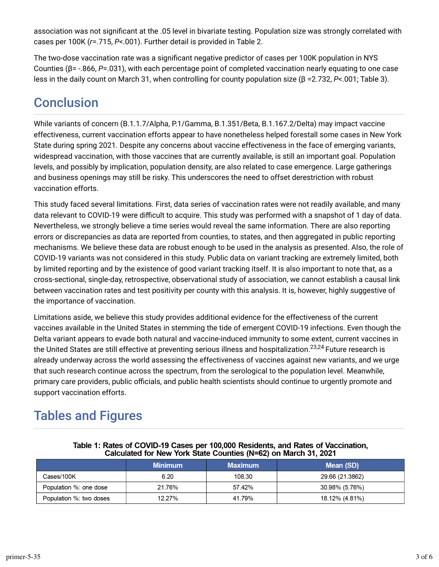association was not significant at the .05 level in bivariate testing. Population size was strongly correlated with cases per 100K (*r*=.715, *P*<.001). Further detail is provided in Table 2.

The two-dose vaccination rate was a significant negative predictor of cases per 100K population in NYS Counties (β= -.866, *P*=.031), with each percentage point of completed vaccination nearly equating to one case less in the daily count on March 31, when controlling for county population size (β =2.732, *P*<.001; Table 3).

# **Conclusion**

While variants of concern (B.1.1.7/Alpha, P.1/Gamma, B.1.351/Beta, B.1.167.2/Delta) may impact vaccine effectiveness, current vaccination efforts appear to have nonetheless helped forestall some cases in New York State during spring 2021. Despite any concerns about vaccine effectiveness in the face of emerging variants, widespread vaccination, with those vaccines that are currently available, is still an important goal. Population levels, and possibly by implication, population density, are also related to case emergence. Large gatherings and business openings may still be risky. This underscores the need to offset derestriction with robust vaccination efforts.

This study faced several limitations. First, data series of vaccination rates were not readily available, and many data relevant to COVID-19 were difficult to acquire. This study was performed with a snapshot of 1 day of data. Nevertheless, we strongly believe a time series would reveal the same information. There are also reporting errors or discrepancies as data are reported from counties, to states, and then aggregated in public reporting mechanisms. We believe these data are robust enough to be used in the analysis as presented. Also, the role of COVID-19 variants was not considered in this study. Public data on variant tracking are extremely limited, both by limited reporting and by the existence of good variant tracking itself. It is also important to note that, as a cross-sectional, single-day, retrospective, observational study of association, we cannot establish a causal link between vaccination rates and test positivity per county with this analysis. It is, however, highly suggestive of the importance of vaccination.

Limitations aside, we believe this study provides additional evidence for the effectiveness of the current vaccines available in the United States in stemming the tide of emergent COVID-19 infections. Even though the Delta variant appears to evade both natural and vaccine-induced immunity to some extent, current vaccines in the United States are still effective at preventing serious illness and hospitalization.<sup>23,24</sup> Future research is already underway across the world assessing the effectiveness of vaccines against new variants, and we urge that such research continue across the spectrum, from the serological to the population level. Meanwhile, primary care providers, public officials, and public health scientists should continue to urgently promote and support vaccination efforts.

# Tables and Figures

|                         | <b>Minimum</b> | <b>Maximum</b> | Mean (SD)       |  |  |  |
|-------------------------|----------------|----------------|-----------------|--|--|--|
| Cases/100K              | 6.20           | 108.30         | 29.66 (21.3862) |  |  |  |
| Population %: one dose  | 21.76%         | 57.42%         | 30.98% (5.76%)  |  |  |  |
| Population %: two doses | 12.27%         | 41.79%         | 18 12% (4.81%)  |  |  |  |

Table 1: Rates of COVID-19 Cases per 100,000 Residents, and Rates of Vaccination, Calculated for New York State Counties (N=62) on March 31, 2021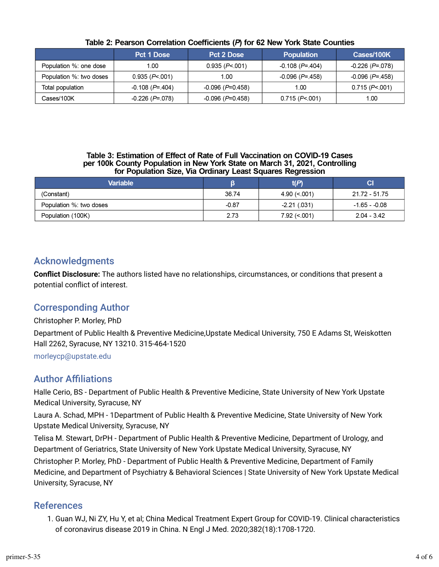|                         | Pct 1 Dose               | Pct 2 Dose         | <b>Population</b> | Cases/100K        |  |
|-------------------------|--------------------------|--------------------|-------------------|-------------------|--|
| Population %: one dose  | 1.00                     | 0.935 (P<.001)     | $-0.108$ (P= 404) | $-0.226$ (P=.078) |  |
| Population %: two doses | 0.935 (P<.001)           | 1.00               | $-0.096$ (P= 458) | $-0.096$ (P=.458) |  |
| Total population        | -0.108 ( <i>P</i> =.404) | $-0.096$ (P=0.458) | 1.00              | 0.715 (P<.001)    |  |
| Cases/100K              | $-0.226$ (P=.078)        | $-0.096$ (P=0.458) | 0.715 (P<.001)    | 1.00              |  |

#### Table 2: Pearson Correlation Coefficients (P) for 62 New York State Counties

#### Table 3: Estimation of Effect of Rate of Full Vaccination on COVID-19 Cases per 100k County Population in New York State on March 31, 2021, Controlling for Population Size, Via Ordinary Least Squares Regression

| <b>Variable</b>         |         | t(P)           | CI             |
|-------------------------|---------|----------------|----------------|
| (Constant)              | 36.74   | 490 (< 001     | 21.72 - 51.75  |
| Population %: two doses | $-0.87$ | $-2.21(0.031)$ | $-1.65 - 0.08$ |
| Population (100K)       | 2.73    | $7.92 \le 001$ | $2.04 - 3.42$  |

## Acknowledgments

**Conflict Disclosure:** The authors listed have no relationships, circumstances, or conditions that present a potential conflict of interest.

## Corresponding Author

Christopher P. Morley, PhD

Department of Public Health & Preventive Medicine,Upstate Medical University, 750 E Adams St, Weiskotten Hall 2262, Syracuse, NY 13210. 315-464-1520

[morleycp@upstate.edu](mailto:morleycp@upstate.edu)

## **Author Affiliations**

Halle Cerio, BS - Department of Public Health & Preventive Medicine, State University of New York Upstate Medical University, Syracuse, NY

Laura A. Schad, MPH - 1Department of Public Health & Preventive Medicine, State University of New York Upstate Medical University, Syracuse, NY

Telisa M. Stewart, DrPH - Department of Public Health & Preventive Medicine, Department of Urology, and Department of Geriatrics, State University of New York Upstate Medical University, Syracuse, NY

Christopher P. Morley, PhD - Department of Public Health & Preventive Medicine, Department of Family Medicine, and Department of Psychiatry & Behavioral Sciences | State University of New York Upstate Medical University, Syracuse, NY

### References

1. Guan WJ, Ni ZY, Hu Y, et al; China Medical Treatment Expert Group for COVID-19. Clinical characteristics of coronavirus disease 2019 in China. N Engl J Med. 2020;382(18):1708-1720.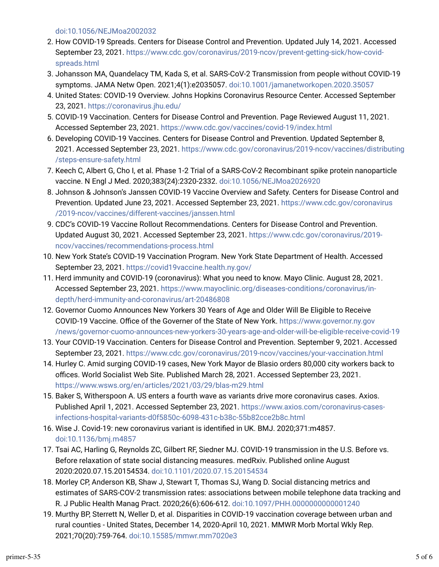[doi:10.1056/NEJMoa2002032](https://doi.org/10.1056/NEJMoa2002032)

- 2. How COVID-19 Spreads. Centers for Disease Control and Prevention. Updated July 14, 2021. Accessed September 23, 2021. [https://www.cdc.gov/coronavirus/2019-ncov/prevent-getting-sick/how-covid](https://www.cdc.gov/coronavirus/2019-ncov/prevent-getting-sick/how-covid-spreads.html)[spreads.html](https://www.cdc.gov/coronavirus/2019-ncov/prevent-getting-sick/how-covid-spreads.html)
- 3. Johansson MA, Quandelacy TM, Kada S, et al. SARS-CoV-2 Transmission from people without COVID-19 symptoms. JAMA Netw Open. 2021;4(1):e2035057. [doi:10.1001/jamanetworkopen.2020.35057](https://doi.org/10.1001/jamanetworkopen.2020.35057)
- 4. United States: COVID-19 Overview. Johns Hopkins Coronavirus Resource Center. Accessed September 23, 2021. <https://coronavirus.jhu.edu/>
- 5. COVID-19 Vaccination. Centers for Disease Control and Prevention. Page Reviewed August 11, 2021. Accessed September 23, 2021.<https://www.cdc.gov/vaccines/covid-19/index.html>
- r. Developing COVID-19 Vaccines. Centers for Disease Control and Prevention. Updated September 8, 2021. Accessed September 23, 2021. [https://www.cdc.gov/coronavirus/2019-ncov/vaccines/distributing](https://www.cdc.gov/coronavirus/2019-ncov/vaccines/distributing/steps-ensure-safety.html) [/steps-ensure-safety.html](https://www.cdc.gov/coronavirus/2019-ncov/vaccines/distributing/steps-ensure-safety.html)
- 7. Keech C, Albert G, Cho I, et al. Phase 1-2 Trial of a SARS-CoV-2 Recombinant spike protein nanoparticle vaccine. N Engl J Med. 2020;383(24):2320-2332. [doi:10.1056/NEJMoa2026920](https://doi.org/10.1056/NEJMoa2026920)
- s. Johnson & Johnson's Janssen COVID-19 Vaccine Overview and Safety. Centers for Disease Control and Prevention. Updated June 23, 2021. Accessed September 23, 2021. [https://www.cdc.gov/coronavirus](https://www.cdc.gov/coronavirus/2019-ncov/vaccines/different-vaccines/janssen.html) [/2019-ncov/vaccines/different-vaccines/janssen.html](https://www.cdc.gov/coronavirus/2019-ncov/vaccines/different-vaccines/janssen.html)
- 9. CDC's COVID-19 Vaccine Rollout Recommendations. Centers for Disease Control and Prevention. Updated August 30, 2021. Accessed September 23, 2021. [https://www.cdc.gov/coronavirus/2019](https://www.cdc.gov/coronavirus/2019-ncov/vaccines/recommendations-process.html) [ncov/vaccines/recommendations-process.html](https://www.cdc.gov/coronavirus/2019-ncov/vaccines/recommendations-process.html)
- 10. New York State's COVID-19 Vaccination Program. New York State Department of Health. Accessed September 23, 2021.<https://covid19vaccine.health.ny.gov/>
- 11. Herd immunity and COVID-19 (coronavirus): What you need to know. Mayo Clinic. August 28, 2021. Accessed September 23, 2021. [https://www.mayoclinic.org/diseases-conditions/coronavirus/in](https://www.mayoclinic.org/diseases-conditions/coronavirus/in-depth/herd-immunity-and-coronavirus/art-20486808)[depth/herd-immunity-and-coronavirus/art-20486808](https://www.mayoclinic.org/diseases-conditions/coronavirus/in-depth/herd-immunity-and-coronavirus/art-20486808)
- 12. Governor Cuomo Announces New Yorkers 30 Years of Age and Older Will Be Eligible to Receive COVID-19 Vaccine. Office of the Governer of the State of New York. [https://www.governor.ny.gov](https://www.governor.ny.gov/news/governor-cuomo-announces-new-yorkers-30-years-age-and-older-will-be-eligible-receive-covid-19) [/news/governor-cuomo-announces-new-yorkers-30-years-age-and-older-will-be-eligible-receive-covid-19](https://www.governor.ny.gov/news/governor-cuomo-announces-new-yorkers-30-years-age-and-older-will-be-eligible-receive-covid-19)
- 13. Your COVID-19 Vaccination. Centers for Disease Control and Prevention. September 9, 2021. Accessed September 23, 2021.<https://www.cdc.gov/coronavirus/2019-ncov/vaccines/your-vaccination.html>
- 14. Hurley C. Amid surging COVID-19 cases, New York Mayor de Blasio orders 80,000 city workers back to offices. World Socialist Web Site. Published March 28, 2021. Accessed September 23, 2021. <https://www.wsws.org/en/articles/2021/03/29/blas-m29.html>
- 15. Baker S, Witherspoon A. US enters a fourth wave as variants drive more coronavirus cases. Axios. Published April 1, 2021. Accessed September 23, 2021. [https://www.axios.com/coronavirus-cases](https://www.axios.com/coronavirus-cases-infections-hospital-variants-d0f5850c-6098-431c-b38c-55b82cce2b8c.html)[infections-hospital-variants-d0f5850c-6098-431c-b38c-55b82cce2b8c.html](https://www.axios.com/coronavirus-cases-infections-hospital-variants-d0f5850c-6098-431c-b38c-55b82cce2b8c.html)
- 16. Wise J. Covid-19: new coronavirus variant is identified in UK. BMJ. 2020;371:m4857. [doi:10.1136/bmj.m4857](https://doi.org/10.1136/bmj.m4857)
- 17. Tsai AC, Harling G, Reynolds ZC, Gilbert RF, Siedner MJ. COVID-19 transmission in the U.S. Before vs. Before relaxation of state social distancing measures. medRxiv. Published online August 2020:2020.07.15.20154534. [doi:10.1101/2020.07.15.20154534](https://doi.org/10.1101/2020.07.15.20154534)
- 1s. Morley CP, Anderson KB, Shaw J, Stewart T, Thomas SJ, Wang D. Social distancing metrics and estimates of SARS-COV-2 transmission rates: associations between mobile telephone data tracking and R. J Public Health Manag Pract. 2020;26(6):606-612. [doi:10.1097/PHH.0000000000001240](https://doi.org/10.1097/PHH.0000000000001240)
- 19. Murthy BP, Sterrett N, Weller D, et al. Disparities in COVID-19 vaccination coverage between urban and rural counties - United States, December 14, 2020-April 10, 2021. MMWR Morb Mortal Wkly Rep. 2021;70(20):759-764. [doi:10.15585/mmwr.mm7020e3](https://doi.org/10.15585/mmwr.mm7020e3)